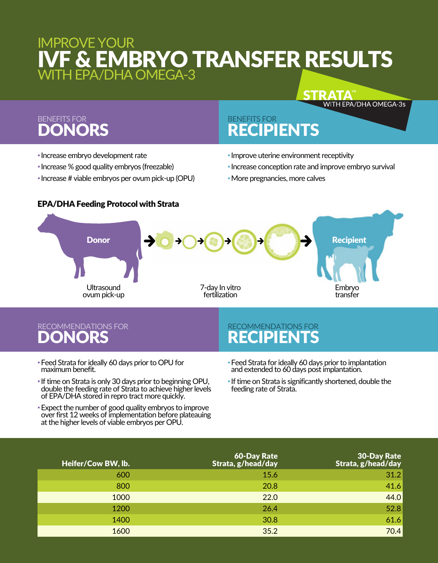# IMPROVE YOUR IVF & EMBRYO TRANSFER RESULTS WITH EPA/DHA OMEGA-3

## BENEFITS FOR DONORS

## BENEFITS FOR RECIPIENTS

- •Increase embryo development rate
- •Increase % good quality embryos (freezable)
- •Increase # viable embryos per ovum pick-up (OPU)

#### •Improve uterine environment receptivity

•Increase conception rate and improve embryo survival

**STRATA<sup>®</sup>** 

WITH EPA/DHA OMEGA-3s

•More pregnancies, more calves



## RECOMMENDATIONS FOR DONORS

### RECOMMENDATIONS FOR **RECIPIE**

- •Feed Strata for ideally 60 days prior to OPU for maximum benefit.
- •If time on Strata is only 30 days prior to beginning OPU, double the feeding rate of Strata to achieve higher levels of EPA/DHA stored in repro tract more quickly.
- •Expect the number of good quality embryos to improve over first 12 weeks of implementation before plateauing at the higher levels of viable embryos per OPU.
- •Feed Strata for ideally 60 days prior to implantation and extended to 60 days post implantation.
- •If time on Strata is significantly shortened, double the feeding rate of Strata.

| Heifer/Cow BW, lb. | 60-Day Rate<br>Strata, g/head/day | <b>30-Day Rate</b><br>Strata, g/head/day |
|--------------------|-----------------------------------|------------------------------------------|
| 600                | 15.6                              | 31.2                                     |
| 800                | 20.8                              | 41.6                                     |
| 1000               | 22.0                              | 44.0                                     |
| 1200               | 26.4                              | 52.8                                     |
| 1400               | 30.8                              | 61.6                                     |
| 1600               | 35.2                              | 70.4                                     |

### EPA/DHA Feeding Protocol with Strata